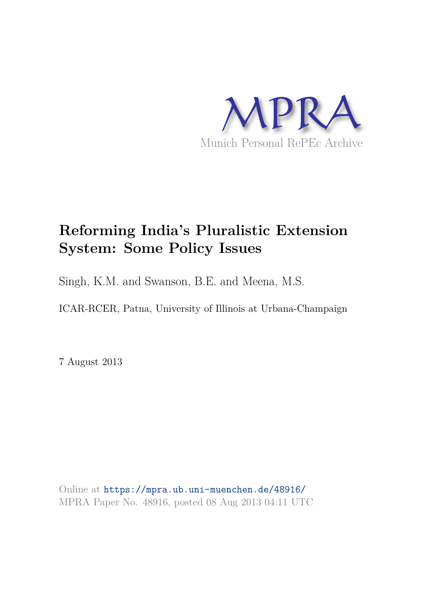

# **Reforming India's Pluralistic Extension System: Some Policy Issues**

Singh, K.M. and Swanson, B.E. and Meena, M.S.

ICAR-RCER, Patna, University of Illinois at Urbana-Champaign

7 August 2013

Online at https://mpra.ub.uni-muenchen.de/48916/ MPRA Paper No. 48916, posted 08 Aug 2013 04:11 UTC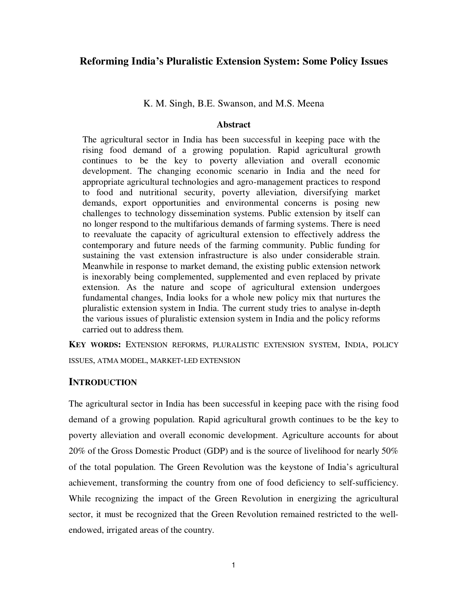## **Reforming India's Pluralistic Extension System: Some Policy Issues**

K. M. Singh, B.E. Swanson, and M.S. Meena

#### **Abstract**

The agricultural sector in India has been successful in keeping pace with the rising food demand of a growing population. Rapid agricultural growth continues to be the key to poverty alleviation and overall economic development. The changing economic scenario in India and the need for appropriate agricultural technologies and agro-management practices to respond to food and nutritional security, poverty alleviation, diversifying market demands, export opportunities and environmental concerns is posing new challenges to technology dissemination systems. Public extension by itself can no longer respond to the multifarious demands of farming systems. There is need to reevaluate the capacity of agricultural extension to effectively address the contemporary and future needs of the farming community. Public funding for sustaining the vast extension infrastructure is also under considerable strain. Meanwhile in response to market demand, the existing public extension network is inexorably being complemented, supplemented and even replaced by private extension. As the nature and scope of agricultural extension undergoes fundamental changes, India looks for a whole new policy mix that nurtures the pluralistic extension system in India. The current study tries to analyse in-depth the various issues of pluralistic extension system in India and the policy reforms carried out to address them.

**KEY WORDS:** EXTENSION REFORMS, PLURALISTIC EXTENSION SYSTEM, INDIA, POLICY ISSUES, ATMA MODEL, MARKET-LED EXTENSION

#### **INTRODUCTION**

The agricultural sector in India has been successful in keeping pace with the rising food demand of a growing population. Rapid agricultural growth continues to be the key to poverty alleviation and overall economic development. Agriculture accounts for about 20% of the Gross Domestic Product (GDP) and is the source of livelihood for nearly 50% of the total population. The Green Revolution was the keystone of India's agricultural achievement, transforming the country from one of food deficiency to self-sufficiency. While recognizing the impact of the Green Revolution in energizing the agricultural sector, it must be recognized that the Green Revolution remained restricted to the wellendowed, irrigated areas of the country.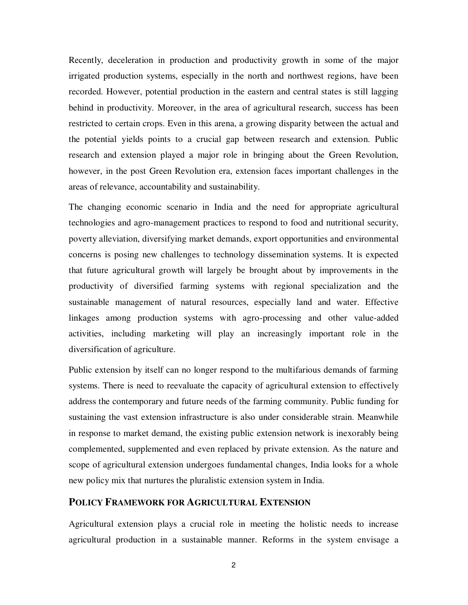Recently, deceleration in production and productivity growth in some of the major irrigated production systems, especially in the north and northwest regions, have been recorded. However, potential production in the eastern and central states is still lagging behind in productivity. Moreover, in the area of agricultural research, success has been restricted to certain crops. Even in this arena, a growing disparity between the actual and the potential yields points to a crucial gap between research and extension. Public research and extension played a major role in bringing about the Green Revolution, however, in the post Green Revolution era, extension faces important challenges in the areas of relevance, accountability and sustainability.

The changing economic scenario in India and the need for appropriate agricultural technologies and agro-management practices to respond to food and nutritional security, poverty alleviation, diversifying market demands, export opportunities and environmental concerns is posing new challenges to technology dissemination systems. It is expected that future agricultural growth will largely be brought about by improvements in the productivity of diversified farming systems with regional specialization and the sustainable management of natural resources, especially land and water. Effective linkages among production systems with agro-processing and other value-added activities, including marketing will play an increasingly important role in the diversification of agriculture.

Public extension by itself can no longer respond to the multifarious demands of farming systems. There is need to reevaluate the capacity of agricultural extension to effectively address the contemporary and future needs of the farming community. Public funding for sustaining the vast extension infrastructure is also under considerable strain. Meanwhile in response to market demand, the existing public extension network is inexorably being complemented, supplemented and even replaced by private extension. As the nature and scope of agricultural extension undergoes fundamental changes, India looks for a whole new policy mix that nurtures the pluralistic extension system in India.

# **POLICY FRAMEWORK FOR AGRICULTURAL EXTENSION**

Agricultural extension plays a crucial role in meeting the holistic needs to increase agricultural production in a sustainable manner. Reforms in the system envisage a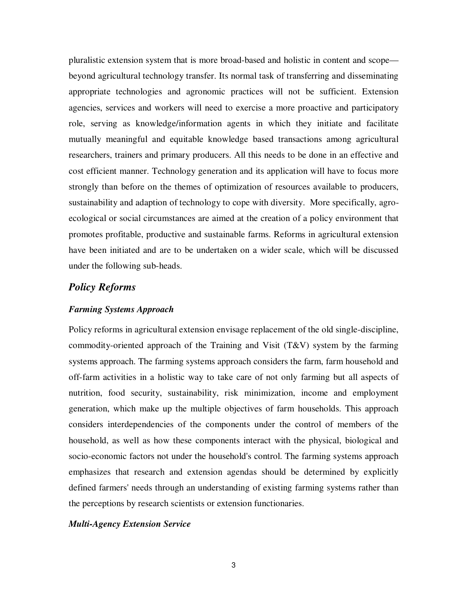pluralistic extension system that is more broad-based and holistic in content and scope beyond agricultural technology transfer. Its normal task of transferring and disseminating appropriate technologies and agronomic practices will not be sufficient. Extension agencies, services and workers will need to exercise a more proactive and participatory role, serving as knowledge/information agents in which they initiate and facilitate mutually meaningful and equitable knowledge based transactions among agricultural researchers, trainers and primary producers. All this needs to be done in an effective and cost efficient manner. Technology generation and its application will have to focus more strongly than before on the themes of optimization of resources available to producers, sustainability and adaption of technology to cope with diversity. More specifically, agroecological or social circumstances are aimed at the creation of a policy environment that promotes profitable, productive and sustainable farms. Reforms in agricultural extension have been initiated and are to be undertaken on a wider scale, which will be discussed under the following sub-heads.

# *Policy Reforms*

#### *Farming Systems Approach*

Policy reforms in agricultural extension envisage replacement of the old single-discipline, commodity-oriented approach of the Training and Visit  $(T&V)$  system by the farming systems approach. The farming systems approach considers the farm, farm household and off-farm activities in a holistic way to take care of not only farming but all aspects of nutrition, food security, sustainability, risk minimization, income and employment generation, which make up the multiple objectives of farm households. This approach considers interdependencies of the components under the control of members of the household, as well as how these components interact with the physical, biological and socio-economic factors not under the household's control. The farming systems approach emphasizes that research and extension agendas should be determined by explicitly defined farmers' needs through an understanding of existing farming systems rather than the perceptions by research scientists or extension functionaries.

#### *Multi-Agency Extension Service*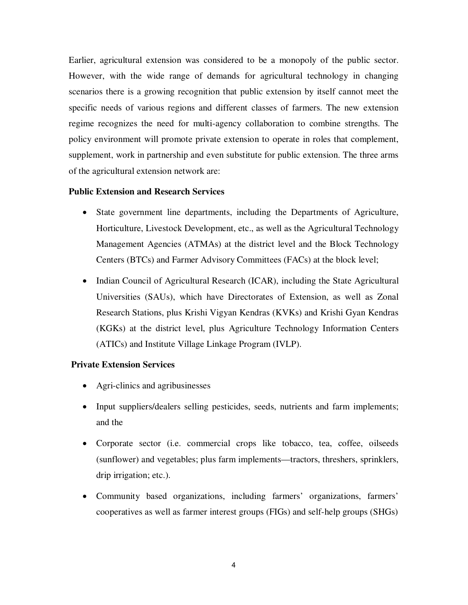Earlier, agricultural extension was considered to be a monopoly of the public sector. However, with the wide range of demands for agricultural technology in changing scenarios there is a growing recognition that public extension by itself cannot meet the specific needs of various regions and different classes of farmers. The new extension regime recognizes the need for multi-agency collaboration to combine strengths. The policy environment will promote private extension to operate in roles that complement, supplement, work in partnership and even substitute for public extension. The three arms of the agricultural extension network are:

#### **Public Extension and Research Services**

- State government line departments, including the Departments of Agriculture, Horticulture, Livestock Development, etc., as well as the Agricultural Technology Management Agencies (ATMAs) at the district level and the Block Technology Centers (BTCs) and Farmer Advisory Committees (FACs) at the block level;
- Indian Council of Agricultural Research (ICAR), including the State Agricultural Universities (SAUs), which have Directorates of Extension, as well as Zonal Research Stations, plus Krishi Vigyan Kendras (KVKs) and Krishi Gyan Kendras (KGKs) at the district level, plus Agriculture Technology Information Centers (ATICs) and Institute Village Linkage Program (IVLP).

#### **Private Extension Services**

- Agri-clinics and agribusinesses
- Input suppliers/dealers selling pesticides, seeds, nutrients and farm implements; and the
- Corporate sector (i.e. commercial crops like tobacco, tea, coffee, oilseeds (sunflower) and vegetables; plus farm implements—tractors, threshers, sprinklers, drip irrigation; etc.).
- Community based organizations, including farmers' organizations, farmers' cooperatives as well as farmer interest groups (FIGs) and self-help groups (SHGs)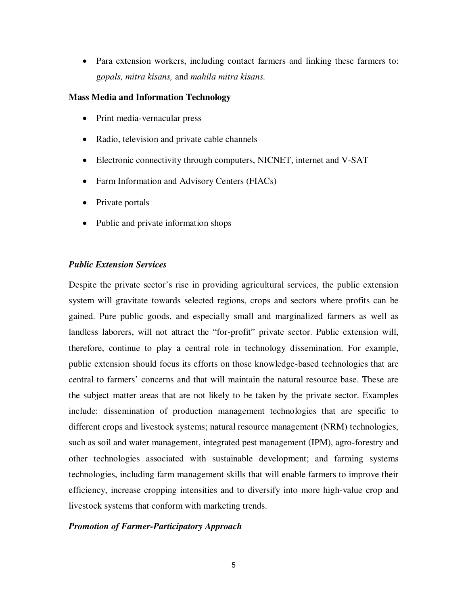Para extension workers, including contact farmers and linking these farmers to: g*opals, mitra kisans,* and *mahila mitra kisans.*

#### **Mass Media and Information Technology**

- Print media-vernacular press
- Radio, television and private cable channels
- Electronic connectivity through computers, NICNET, internet and V-SAT
- Farm Information and Advisory Centers (FIACs)
- Private portals
- Public and private information shops

## *Public Extension Services*

Despite the private sector's rise in providing agricultural services, the public extension system will gravitate towards selected regions, crops and sectors where profits can be gained. Pure public goods, and especially small and marginalized farmers as well as landless laborers, will not attract the "for-profit" private sector. Public extension will, therefore, continue to play a central role in technology dissemination. For example, public extension should focus its efforts on those knowledge-based technologies that are central to farmers' concerns and that will maintain the natural resource base. These are the subject matter areas that are not likely to be taken by the private sector. Examples include: dissemination of production management technologies that are specific to different crops and livestock systems; natural resource management (NRM) technologies, such as soil and water management, integrated pest management (IPM), agro-forestry and other technologies associated with sustainable development; and farming systems technologies, including farm management skills that will enable farmers to improve their efficiency, increase cropping intensities and to diversify into more high-value crop and livestock systems that conform with marketing trends.

## *Promotion of Farmer-Participatory Approach*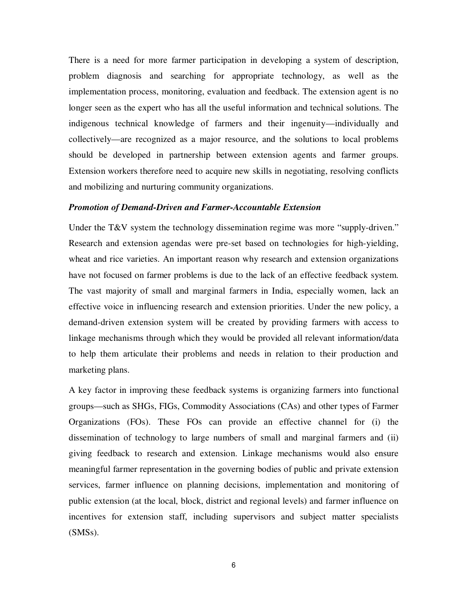There is a need for more farmer participation in developing a system of description, problem diagnosis and searching for appropriate technology, as well as the implementation process, monitoring, evaluation and feedback. The extension agent is no longer seen as the expert who has all the useful information and technical solutions. The indigenous technical knowledge of farmers and their ingenuity—individually and collectively—are recognized as a major resource, and the solutions to local problems should be developed in partnership between extension agents and farmer groups. Extension workers therefore need to acquire new skills in negotiating, resolving conflicts and mobilizing and nurturing community organizations.

#### *Promotion of Demand-Driven and Farmer-Accountable Extension*

Under the T&V system the technology dissemination regime was more "supply-driven." Research and extension agendas were pre-set based on technologies for high-yielding, wheat and rice varieties. An important reason why research and extension organizations have not focused on farmer problems is due to the lack of an effective feedback system. The vast majority of small and marginal farmers in India, especially women, lack an effective voice in influencing research and extension priorities. Under the new policy, a demand-driven extension system will be created by providing farmers with access to linkage mechanisms through which they would be provided all relevant information/data to help them articulate their problems and needs in relation to their production and marketing plans.

A key factor in improving these feedback systems is organizing farmers into functional groups—such as SHGs, FIGs, Commodity Associations (CAs) and other types of Farmer Organizations (FOs). These FOs can provide an effective channel for (i) the dissemination of technology to large numbers of small and marginal farmers and (ii) giving feedback to research and extension. Linkage mechanisms would also ensure meaningful farmer representation in the governing bodies of public and private extension services, farmer influence on planning decisions, implementation and monitoring of public extension (at the local, block, district and regional levels) and farmer influence on incentives for extension staff, including supervisors and subject matter specialists (SMSs).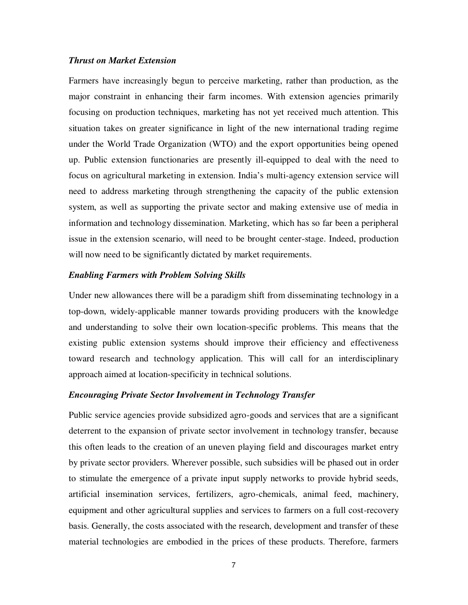#### *Thrust on Market Extension*

Farmers have increasingly begun to perceive marketing, rather than production, as the major constraint in enhancing their farm incomes. With extension agencies primarily focusing on production techniques, marketing has not yet received much attention. This situation takes on greater significance in light of the new international trading regime under the World Trade Organization (WTO) and the export opportunities being opened up. Public extension functionaries are presently ill-equipped to deal with the need to focus on agricultural marketing in extension. India's multi-agency extension service will need to address marketing through strengthening the capacity of the public extension system, as well as supporting the private sector and making extensive use of media in information and technology dissemination. Marketing, which has so far been a peripheral issue in the extension scenario, will need to be brought center-stage. Indeed, production will now need to be significantly dictated by market requirements.

#### *Enabling Farmers with Problem Solving Skills*

Under new allowances there will be a paradigm shift from disseminating technology in a top-down, widely-applicable manner towards providing producers with the knowledge and understanding to solve their own location-specific problems. This means that the existing public extension systems should improve their efficiency and effectiveness toward research and technology application. This will call for an interdisciplinary approach aimed at location-specificity in technical solutions.

#### *Encouraging Private Sector Involvement in Technology Transfer*

Public service agencies provide subsidized agro-goods and services that are a significant deterrent to the expansion of private sector involvement in technology transfer, because this often leads to the creation of an uneven playing field and discourages market entry by private sector providers. Wherever possible, such subsidies will be phased out in order to stimulate the emergence of a private input supply networks to provide hybrid seeds, artificial insemination services, fertilizers, agro-chemicals, animal feed, machinery, equipment and other agricultural supplies and services to farmers on a full cost-recovery basis. Generally, the costs associated with the research, development and transfer of these material technologies are embodied in the prices of these products. Therefore, farmers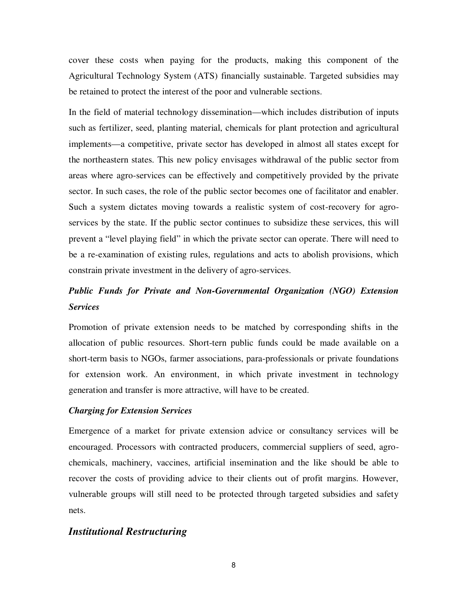cover these costs when paying for the products, making this component of the Agricultural Technology System (ATS) financially sustainable. Targeted subsidies may be retained to protect the interest of the poor and vulnerable sections.

In the field of material technology dissemination—which includes distribution of inputs such as fertilizer, seed, planting material, chemicals for plant protection and agricultural implements—a competitive, private sector has developed in almost all states except for the northeastern states. This new policy envisages withdrawal of the public sector from areas where agro-services can be effectively and competitively provided by the private sector. In such cases, the role of the public sector becomes one of facilitator and enabler. Such a system dictates moving towards a realistic system of cost-recovery for agroservices by the state. If the public sector continues to subsidize these services, this will prevent a "level playing field" in which the private sector can operate. There will need to be a re-examination of existing rules, regulations and acts to abolish provisions, which constrain private investment in the delivery of agro-services.

# *Public Funds for Private and Non-Governmental Organization (NGO) Extension Services*

Promotion of private extension needs to be matched by corresponding shifts in the allocation of public resources. Short-tern public funds could be made available on a short-term basis to NGOs, farmer associations, para-professionals or private foundations for extension work. An environment, in which private investment in technology generation and transfer is more attractive, will have to be created.

#### *Charging for Extension Services*

Emergence of a market for private extension advice or consultancy services will be encouraged. Processors with contracted producers, commercial suppliers of seed, agrochemicals, machinery, vaccines, artificial insemination and the like should be able to recover the costs of providing advice to their clients out of profit margins. However, vulnerable groups will still need to be protected through targeted subsidies and safety nets.

#### *Institutional Restructuring*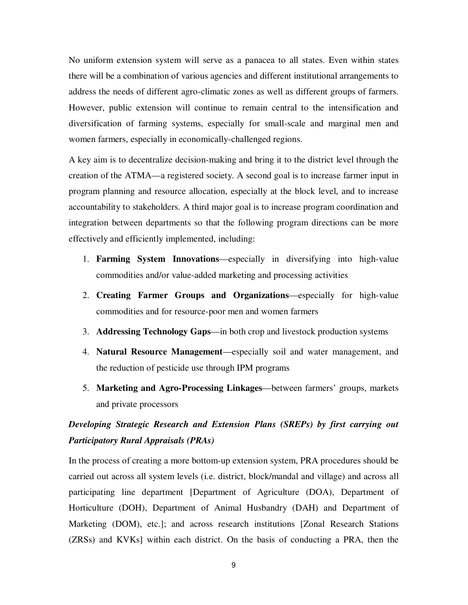No uniform extension system will serve as a panacea to all states. Even within states there will be a combination of various agencies and different institutional arrangements to address the needs of different agro-climatic zones as well as different groups of farmers. However, public extension will continue to remain central to the intensification and diversification of farming systems, especially for small-scale and marginal men and women farmers, especially in economically-challenged regions.

A key aim is to decentralize decision-making and bring it to the district level through the creation of the ATMA—a registered society. A second goal is to increase farmer input in program planning and resource allocation, especially at the block level, and to increase accountability to stakeholders. A third major goal is to increase program coordination and integration between departments so that the following program directions can be more effectively and efficiently implemented, including:

- 1. **Farming System Innovations**—especially in diversifying into high-value commodities and/or value-added marketing and processing activities
- 2. **Creating Farmer Groups and Organizations**—especially for high-value commodities and for resource-poor men and women farmers
- 3. **Addressing Technology Gaps**—in both crop and livestock production systems
- 4. **Natural Resource Management**—especially soil and water management, and the reduction of pesticide use through IPM programs
- 5. **Marketing and Agro-Processing Linkages**—between farmers' groups, markets and private processors

# *Developing Strategic Research and Extension Plans (SREPs) by first carrying out Participatory Rural Appraisals (PRAs)*

In the process of creating a more bottom-up extension system, PRA procedures should be carried out across all system levels (i.e. district, block/mandal and village) and across all participating line department [Department of Agriculture (DOA), Department of Horticulture (DOH), Department of Animal Husbandry (DAH) and Department of Marketing (DOM), etc.]; and across research institutions [Zonal Research Stations (ZRSs) and KVKs] within each district. On the basis of conducting a PRA, then the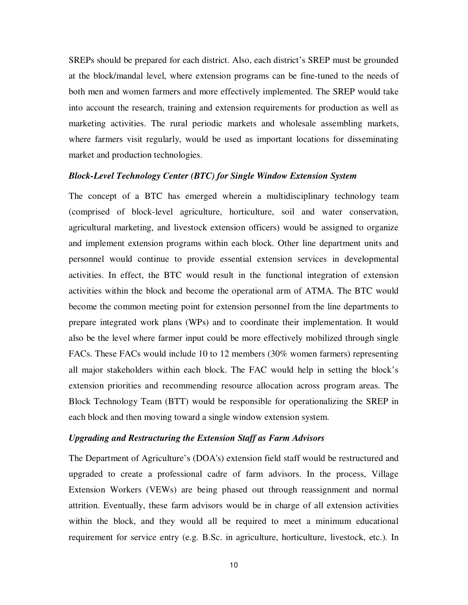SREPs should be prepared for each district. Also, each district's SREP must be grounded at the block/mandal level, where extension programs can be fine-tuned to the needs of both men and women farmers and more effectively implemented. The SREP would take into account the research, training and extension requirements for production as well as marketing activities. The rural periodic markets and wholesale assembling markets, where farmers visit regularly, would be used as important locations for disseminating market and production technologies.

#### *Block-Level Technology Center (BTC) for Single Window Extension System*

The concept of a BTC has emerged wherein a multidisciplinary technology team (comprised of block-level agriculture, horticulture, soil and water conservation, agricultural marketing, and livestock extension officers) would be assigned to organize and implement extension programs within each block. Other line department units and personnel would continue to provide essential extension services in developmental activities. In effect, the BTC would result in the functional integration of extension activities within the block and become the operational arm of ATMA. The BTC would become the common meeting point for extension personnel from the line departments to prepare integrated work plans (WPs) and to coordinate their implementation. It would also be the level where farmer input could be more effectively mobilized through single FACs. These FACs would include 10 to 12 members (30% women farmers) representing all major stakeholders within each block. The FAC would help in setting the block's extension priorities and recommending resource allocation across program areas. The Block Technology Team (BTT) would be responsible for operationalizing the SREP in each block and then moving toward a single window extension system.

#### *Upgrading and Restructuring the Extension Staff as Farm Advisors*

The Department of Agriculture's (DOA's) extension field staff would be restructured and upgraded to create a professional cadre of farm advisors. In the process, Village Extension Workers (VEWs) are being phased out through reassignment and normal attrition. Eventually, these farm advisors would be in charge of all extension activities within the block, and they would all be required to meet a minimum educational requirement for service entry (e.g. B.Sc. in agriculture, horticulture, livestock, etc.). In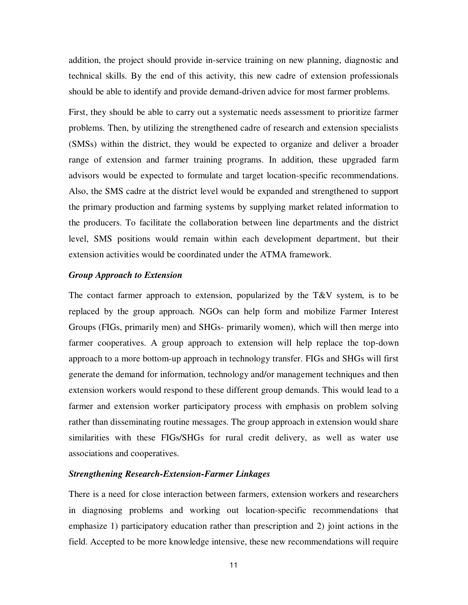addition, the project should provide in-service training on new planning, diagnostic and technical skills. By the end of this activity, this new cadre of extension professionals should be able to identify and provide demand-driven advice for most farmer problems.

First, they should be able to carry out a systematic needs assessment to prioritize farmer problems. Then, by utilizing the strengthened cadre of research and extension specialists (SMSs) within the district, they would be expected to organize and deliver a broader range of extension and farmer training programs. In addition, these upgraded farm advisors would be expected to formulate and target location-specific recommendations. Also, the SMS cadre at the district level would be expanded and strengthened to support the primary production and farming systems by supplying market related information to the producers. To facilitate the collaboration between line departments and the district level, SMS positions would remain within each development department, but their extension activities would be coordinated under the ATMA framework.

#### *Group Approach to Extension*

The contact farmer approach to extension, popularized by the  $T\&V$  system, is to be replaced by the group approach. NGOs can help form and mobilize Farmer Interest Groups (FIGs, primarily men) and SHGs- primarily women), which will then merge into farmer cooperatives. A group approach to extension will help replace the top-down approach to a more bottom-up approach in technology transfer. FIGs and SHGs will first generate the demand for information, technology and/or management techniques and then extension workers would respond to these different group demands. This would lead to a farmer and extension worker participatory process with emphasis on problem solving rather than disseminating routine messages. The group approach in extension would share similarities with these FIGs/SHGs for rural credit delivery, as well as water use associations and cooperatives.

#### *Strengthening Research-Extension-Farmer Linkages*

There is a need for close interaction between farmers, extension workers and researchers in diagnosing problems and working out location-specific recommendations that emphasize 1) participatory education rather than prescription and 2) joint actions in the field. Accepted to be more knowledge intensive, these new recommendations will require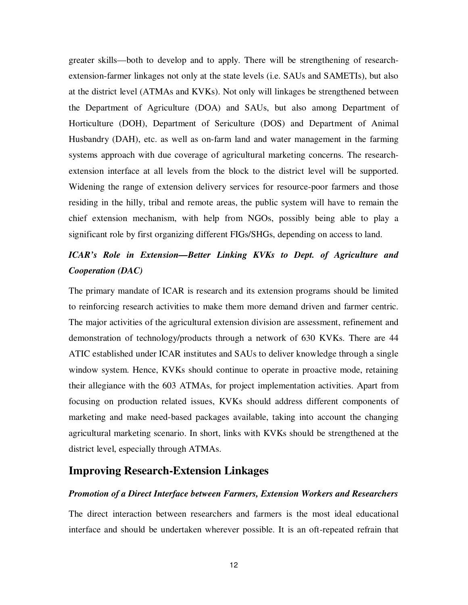greater skills—both to develop and to apply. There will be strengthening of researchextension-farmer linkages not only at the state levels (i.e. SAUs and SAMETIs), but also at the district level (ATMAs and KVKs). Not only will linkages be strengthened between the Department of Agriculture (DOA) and SAUs, but also among Department of Horticulture (DOH), Department of Sericulture (DOS) and Department of Animal Husbandry (DAH), etc. as well as on-farm land and water management in the farming systems approach with due coverage of agricultural marketing concerns. The researchextension interface at all levels from the block to the district level will be supported. Widening the range of extension delivery services for resource-poor farmers and those residing in the hilly, tribal and remote areas, the public system will have to remain the chief extension mechanism, with help from NGOs, possibly being able to play a significant role by first organizing different FIGs/SHGs, depending on access to land.

# *ICAR's Role in Extension—Better Linking KVKs to Dept. of Agriculture and Cooperation (DAC)*

The primary mandate of ICAR is research and its extension programs should be limited to reinforcing research activities to make them more demand driven and farmer centric. The major activities of the agricultural extension division are assessment, refinement and demonstration of technology/products through a network of 630 KVKs. There are 44 ATIC established under ICAR institutes and SAUs to deliver knowledge through a single window system. Hence, KVKs should continue to operate in proactive mode, retaining their allegiance with the 603 ATMAs, for project implementation activities. Apart from focusing on production related issues, KVKs should address different components of marketing and make need-based packages available, taking into account the changing agricultural marketing scenario. In short, links with KVKs should be strengthened at the district level, especially through ATMAs.

# **Improving Research-Extension Linkages**

#### *Promotion of a Direct Interface between Farmers, Extension Workers and Researchers*

The direct interaction between researchers and farmers is the most ideal educational interface and should be undertaken wherever possible. It is an oft-repeated refrain that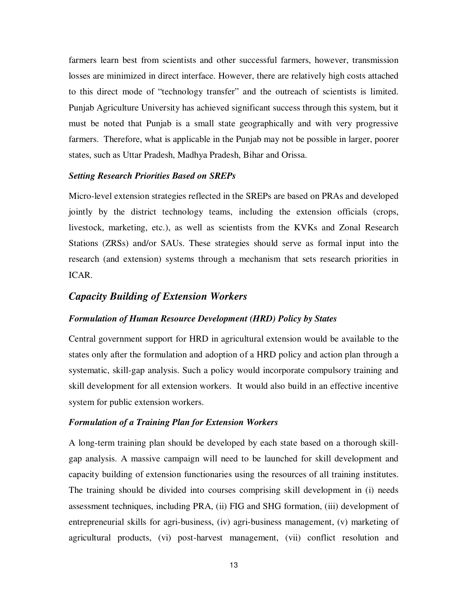farmers learn best from scientists and other successful farmers, however, transmission losses are minimized in direct interface. However, there are relatively high costs attached to this direct mode of "technology transfer" and the outreach of scientists is limited. Punjab Agriculture University has achieved significant success through this system, but it must be noted that Punjab is a small state geographically and with very progressive farmers. Therefore, what is applicable in the Punjab may not be possible in larger, poorer states, such as Uttar Pradesh, Madhya Pradesh, Bihar and Orissa.

#### *Setting Research Priorities Based on SREPs*

Micro-level extension strategies reflected in the SREPs are based on PRAs and developed jointly by the district technology teams, including the extension officials (crops, livestock, marketing, etc.), as well as scientists from the KVKs and Zonal Research Stations (ZRSs) and/or SAUs. These strategies should serve as formal input into the research (and extension) systems through a mechanism that sets research priorities in ICAR.

#### *Capacity Building of Extension Workers*

#### *Formulation of Human Resource Development (HRD) Policy by States*

Central government support for HRD in agricultural extension would be available to the states only after the formulation and adoption of a HRD policy and action plan through a systematic, skill-gap analysis. Such a policy would incorporate compulsory training and skill development for all extension workers. It would also build in an effective incentive system for public extension workers.

#### *Formulation of a Training Plan for Extension Workers*

A long-term training plan should be developed by each state based on a thorough skillgap analysis. A massive campaign will need to be launched for skill development and capacity building of extension functionaries using the resources of all training institutes. The training should be divided into courses comprising skill development in (i) needs assessment techniques, including PRA, (ii) FIG and SHG formation, (iii) development of entrepreneurial skills for agri-business, (iv) agri-business management, (v) marketing of agricultural products, (vi) post-harvest management, (vii) conflict resolution and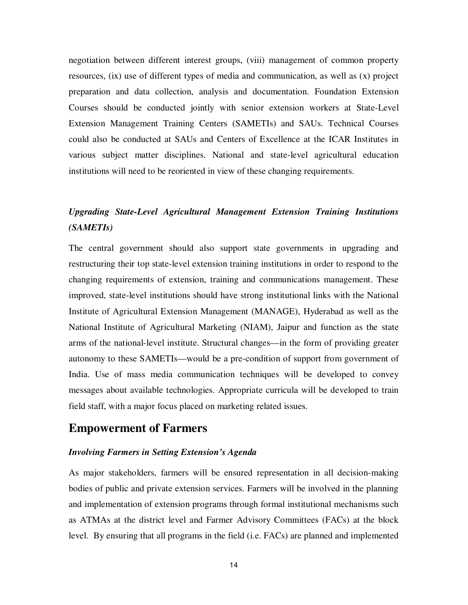negotiation between different interest groups, (viii) management of common property resources, (ix) use of different types of media and communication, as well as (x) project preparation and data collection, analysis and documentation. Foundation Extension Courses should be conducted jointly with senior extension workers at State-Level Extension Management Training Centers (SAMETIs) and SAUs. Technical Courses could also be conducted at SAUs and Centers of Excellence at the ICAR Institutes in various subject matter disciplines. National and state-level agricultural education institutions will need to be reoriented in view of these changing requirements.

# *Upgrading State-Level Agricultural Management Extension Training Institutions (SAMETIs)*

The central government should also support state governments in upgrading and restructuring their top state-level extension training institutions in order to respond to the changing requirements of extension, training and communications management. These improved, state-level institutions should have strong institutional links with the National Institute of Agricultural Extension Management (MANAGE), Hyderabad as well as the National Institute of Agricultural Marketing (NIAM), Jaipur and function as the state arms of the national-level institute. Structural changes—in the form of providing greater autonomy to these SAMETIs—would be a pre-condition of support from government of India. Use of mass media communication techniques will be developed to convey messages about available technologies. Appropriate curricula will be developed to train field staff, with a major focus placed on marketing related issues.

# **Empowerment of Farmers**

#### *Involving Farmers in Setting Extension's Agenda*

As major stakeholders, farmers will be ensured representation in all decision-making bodies of public and private extension services. Farmers will be involved in the planning and implementation of extension programs through formal institutional mechanisms such as ATMAs at the district level and Farmer Advisory Committees (FACs) at the block level. By ensuring that all programs in the field (i.e. FACs) are planned and implemented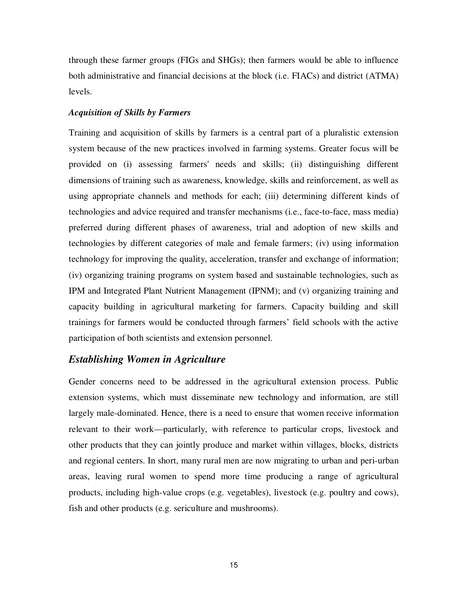through these farmer groups (FIGs and SHGs); then farmers would be able to influence both administrative and financial decisions at the block (i.e. FIACs) and district (ATMA) levels.

#### *Acquisition of Skills by Farmers*

Training and acquisition of skills by farmers is a central part of a pluralistic extension system because of the new practices involved in farming systems. Greater focus will be provided on (i) assessing farmers' needs and skills; (ii) distinguishing different dimensions of training such as awareness, knowledge, skills and reinforcement, as well as using appropriate channels and methods for each; (iii) determining different kinds of technologies and advice required and transfer mechanisms (i.e., face-to-face, mass media) preferred during different phases of awareness, trial and adoption of new skills and technologies by different categories of male and female farmers; (iv) using information technology for improving the quality, acceleration, transfer and exchange of information; (iv) organizing training programs on system based and sustainable technologies, such as IPM and Integrated Plant Nutrient Management (IPNM); and (v) organizing training and capacity building in agricultural marketing for farmers. Capacity building and skill trainings for farmers would be conducted through farmers' field schools with the active participation of both scientists and extension personnel.

## *Establishing Women in Agriculture*

Gender concerns need to be addressed in the agricultural extension process. Public extension systems, which must disseminate new technology and information, are still largely male-dominated. Hence, there is a need to ensure that women receive information relevant to their work—particularly, with reference to particular crops, livestock and other products that they can jointly produce and market within villages, blocks, districts and regional centers. In short, many rural men are now migrating to urban and peri-urban areas, leaving rural women to spend more time producing a range of agricultural products, including high-value crops (e.g. vegetables), livestock (e.g. poultry and cows), fish and other products (e.g. sericulture and mushrooms).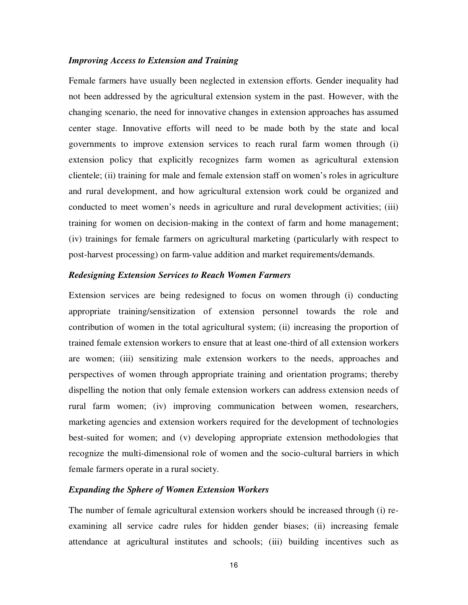#### *Improving Access to Extension and Training*

Female farmers have usually been neglected in extension efforts. Gender inequality had not been addressed by the agricultural extension system in the past. However, with the changing scenario, the need for innovative changes in extension approaches has assumed center stage. Innovative efforts will need to be made both by the state and local governments to improve extension services to reach rural farm women through (i) extension policy that explicitly recognizes farm women as agricultural extension clientele; (ii) training for male and female extension staff on women's roles in agriculture and rural development, and how agricultural extension work could be organized and conducted to meet women's needs in agriculture and rural development activities; (iii) training for women on decision-making in the context of farm and home management; (iv) trainings for female farmers on agricultural marketing (particularly with respect to post-harvest processing) on farm-value addition and market requirements/demands.

### *Redesigning Extension Services to Reach Women Farmers*

Extension services are being redesigned to focus on women through (i) conducting appropriate training/sensitization of extension personnel towards the role and contribution of women in the total agricultural system; (ii) increasing the proportion of trained female extension workers to ensure that at least one-third of all extension workers are women; (iii) sensitizing male extension workers to the needs, approaches and perspectives of women through appropriate training and orientation programs; thereby dispelling the notion that only female extension workers can address extension needs of rural farm women; (iv) improving communication between women, researchers, marketing agencies and extension workers required for the development of technologies best-suited for women; and (v) developing appropriate extension methodologies that recognize the multi-dimensional role of women and the socio-cultural barriers in which female farmers operate in a rural society.

#### *Expanding the Sphere of Women Extension Workers*

The number of female agricultural extension workers should be increased through (i) reexamining all service cadre rules for hidden gender biases; (ii) increasing female attendance at agricultural institutes and schools; (iii) building incentives such as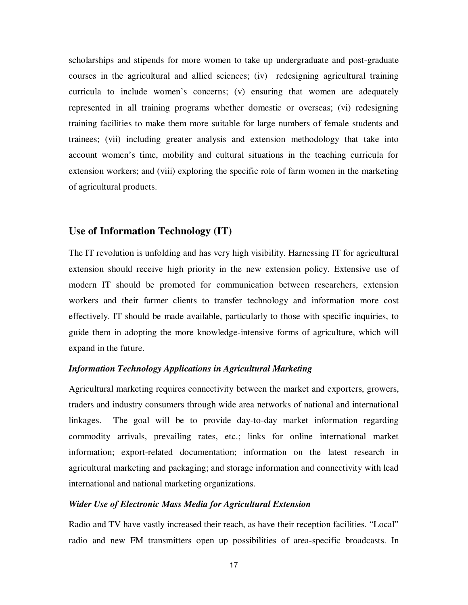scholarships and stipends for more women to take up undergraduate and post-graduate courses in the agricultural and allied sciences; (iv) redesigning agricultural training curricula to include women's concerns; (v) ensuring that women are adequately represented in all training programs whether domestic or overseas; (vi) redesigning training facilities to make them more suitable for large numbers of female students and trainees; (vii) including greater analysis and extension methodology that take into account women's time, mobility and cultural situations in the teaching curricula for extension workers; and (viii) exploring the specific role of farm women in the marketing of agricultural products.

# **Use of Information Technology (IT)**

The IT revolution is unfolding and has very high visibility. Harnessing IT for agricultural extension should receive high priority in the new extension policy. Extensive use of modern IT should be promoted for communication between researchers, extension workers and their farmer clients to transfer technology and information more cost effectively. IT should be made available, particularly to those with specific inquiries, to guide them in adopting the more knowledge-intensive forms of agriculture, which will expand in the future.

#### *Information Technology Applications in Agricultural Marketing*

Agricultural marketing requires connectivity between the market and exporters, growers, traders and industry consumers through wide area networks of national and international linkages. The goal will be to provide day-to-day market information regarding commodity arrivals, prevailing rates, etc.; links for online international market information; export-related documentation; information on the latest research in agricultural marketing and packaging; and storage information and connectivity with lead international and national marketing organizations.

#### *Wider Use of Electronic Mass Media for Agricultural Extension*

Radio and TV have vastly increased their reach, as have their reception facilities. "Local" radio and new FM transmitters open up possibilities of area-specific broadcasts. In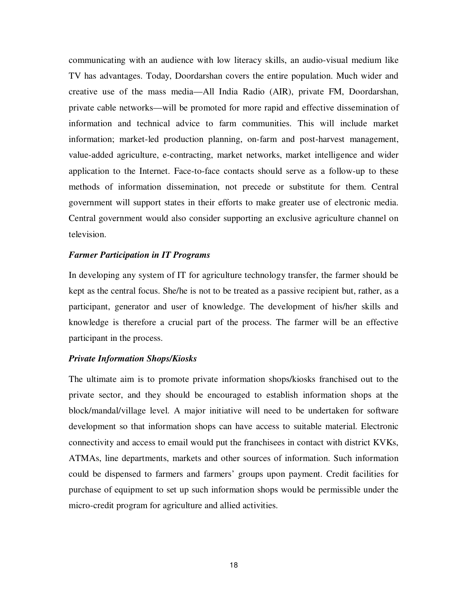communicating with an audience with low literacy skills, an audio-visual medium like TV has advantages. Today, Doordarshan covers the entire population. Much wider and creative use of the mass media—All India Radio (AIR), private FM, Doordarshan, private cable networks—will be promoted for more rapid and effective dissemination of information and technical advice to farm communities. This will include market information; market-led production planning, on-farm and post-harvest management, value-added agriculture, e-contracting, market networks, market intelligence and wider application to the Internet. Face-to-face contacts should serve as a follow-up to these methods of information dissemination, not precede or substitute for them. Central government will support states in their efforts to make greater use of electronic media. Central government would also consider supporting an exclusive agriculture channel on television.

#### *Farmer Participation in IT Programs*

In developing any system of IT for agriculture technology transfer, the farmer should be kept as the central focus. She/he is not to be treated as a passive recipient but, rather, as a participant, generator and user of knowledge. The development of his/her skills and knowledge is therefore a crucial part of the process. The farmer will be an effective participant in the process.

#### *Private Information Shops/Kiosks*

The ultimate aim is to promote private information shops/kiosks franchised out to the private sector, and they should be encouraged to establish information shops at the block/mandal/village level. A major initiative will need to be undertaken for software development so that information shops can have access to suitable material. Electronic connectivity and access to email would put the franchisees in contact with district KVKs, ATMAs, line departments, markets and other sources of information. Such information could be dispensed to farmers and farmers' groups upon payment. Credit facilities for purchase of equipment to set up such information shops would be permissible under the micro-credit program for agriculture and allied activities.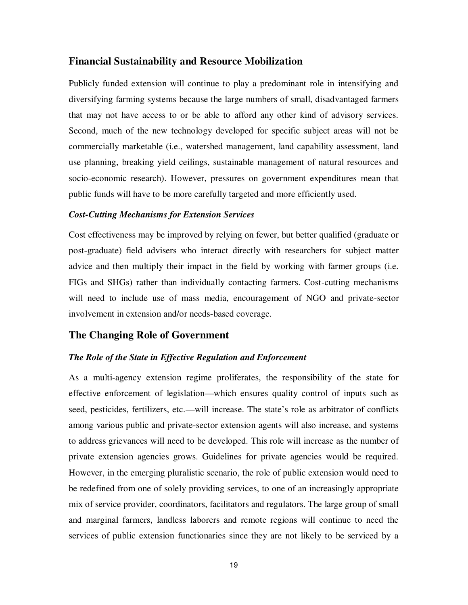# **Financial Sustainability and Resource Mobilization**

Publicly funded extension will continue to play a predominant role in intensifying and diversifying farming systems because the large numbers of small, disadvantaged farmers that may not have access to or be able to afford any other kind of advisory services. Second, much of the new technology developed for specific subject areas will not be commercially marketable (i.e., watershed management, land capability assessment, land use planning, breaking yield ceilings, sustainable management of natural resources and socio-economic research). However, pressures on government expenditures mean that public funds will have to be more carefully targeted and more efficiently used.

#### *Cost-Cutting Mechanisms for Extension Services*

Cost effectiveness may be improved by relying on fewer, but better qualified (graduate or post-graduate) field advisers who interact directly with researchers for subject matter advice and then multiply their impact in the field by working with farmer groups (i.e. FIGs and SHGs) rather than individually contacting farmers. Cost-cutting mechanisms will need to include use of mass media, encouragement of NGO and private-sector involvement in extension and/or needs-based coverage.

## **The Changing Role of Government**

#### *The Role of the State in Effective Regulation and Enforcement*

As a multi-agency extension regime proliferates, the responsibility of the state for effective enforcement of legislation—which ensures quality control of inputs such as seed, pesticides, fertilizers, etc.—will increase. The state's role as arbitrator of conflicts among various public and private-sector extension agents will also increase, and systems to address grievances will need to be developed. This role will increase as the number of private extension agencies grows. Guidelines for private agencies would be required. However, in the emerging pluralistic scenario, the role of public extension would need to be redefined from one of solely providing services, to one of an increasingly appropriate mix of service provider, coordinators, facilitators and regulators. The large group of small and marginal farmers, landless laborers and remote regions will continue to need the services of public extension functionaries since they are not likely to be serviced by a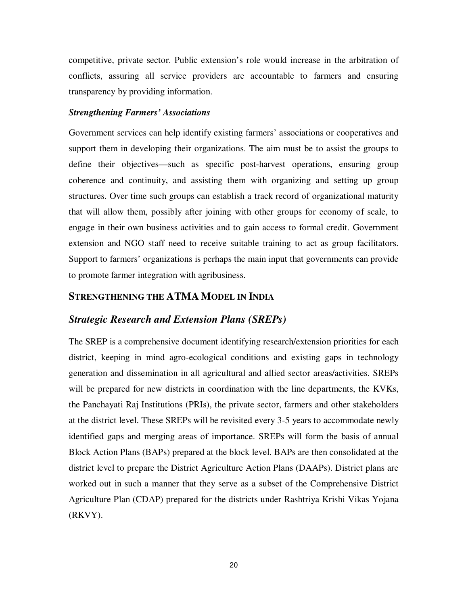competitive, private sector. Public extension's role would increase in the arbitration of conflicts, assuring all service providers are accountable to farmers and ensuring transparency by providing information.

#### *Strengthening Farmers' Associations*

Government services can help identify existing farmers' associations or cooperatives and support them in developing their organizations. The aim must be to assist the groups to define their objectives—such as specific post-harvest operations, ensuring group coherence and continuity, and assisting them with organizing and setting up group structures. Over time such groups can establish a track record of organizational maturity that will allow them, possibly after joining with other groups for economy of scale, to engage in their own business activities and to gain access to formal credit. Government extension and NGO staff need to receive suitable training to act as group facilitators. Support to farmers' organizations is perhaps the main input that governments can provide to promote farmer integration with agribusiness.

# **STRENGTHENING THE ATMA MODEL IN INDIA**

### *Strategic Research and Extension Plans (SREPs)*

The SREP is a comprehensive document identifying research/extension priorities for each district, keeping in mind agro-ecological conditions and existing gaps in technology generation and dissemination in all agricultural and allied sector areas/activities. SREPs will be prepared for new districts in coordination with the line departments, the KVKs, the Panchayati Raj Institutions (PRIs), the private sector, farmers and other stakeholders at the district level. These SREPs will be revisited every 3-5 years to accommodate newly identified gaps and merging areas of importance. SREPs will form the basis of annual Block Action Plans (BAPs) prepared at the block level. BAPs are then consolidated at the district level to prepare the District Agriculture Action Plans (DAAPs). District plans are worked out in such a manner that they serve as a subset of the Comprehensive District Agriculture Plan (CDAP) prepared for the districts under Rashtriya Krishi Vikas Yojana (RKVY).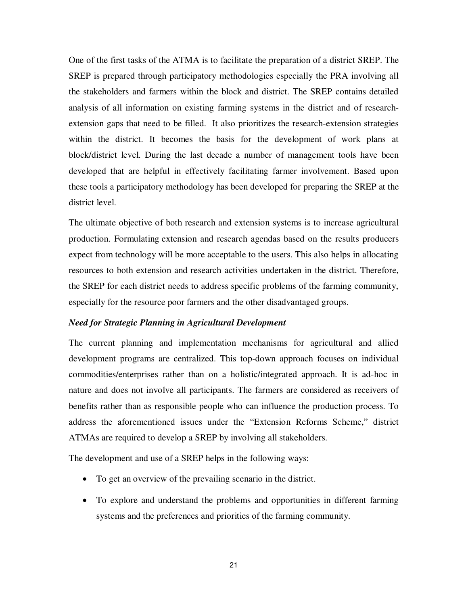One of the first tasks of the ATMA is to facilitate the preparation of a district SREP. The SREP is prepared through participatory methodologies especially the PRA involving all the stakeholders and farmers within the block and district. The SREP contains detailed analysis of all information on existing farming systems in the district and of researchextension gaps that need to be filled. It also prioritizes the research-extension strategies within the district. It becomes the basis for the development of work plans at block/district level. During the last decade a number of management tools have been developed that are helpful in effectively facilitating farmer involvement. Based upon these tools a participatory methodology has been developed for preparing the SREP at the district level.

The ultimate objective of both research and extension systems is to increase agricultural production. Formulating extension and research agendas based on the results producers expect from technology will be more acceptable to the users. This also helps in allocating resources to both extension and research activities undertaken in the district. Therefore, the SREP for each district needs to address specific problems of the farming community, especially for the resource poor farmers and the other disadvantaged groups.

#### *Need for Strategic Planning in Agricultural Development*

The current planning and implementation mechanisms for agricultural and allied development programs are centralized. This top-down approach focuses on individual commodities/enterprises rather than on a holistic/integrated approach. It is ad-hoc in nature and does not involve all participants. The farmers are considered as receivers of benefits rather than as responsible people who can influence the production process. To address the aforementioned issues under the "Extension Reforms Scheme," district ATMAs are required to develop a SREP by involving all stakeholders.

The development and use of a SREP helps in the following ways:

- To get an overview of the prevailing scenario in the district.
- To explore and understand the problems and opportunities in different farming systems and the preferences and priorities of the farming community.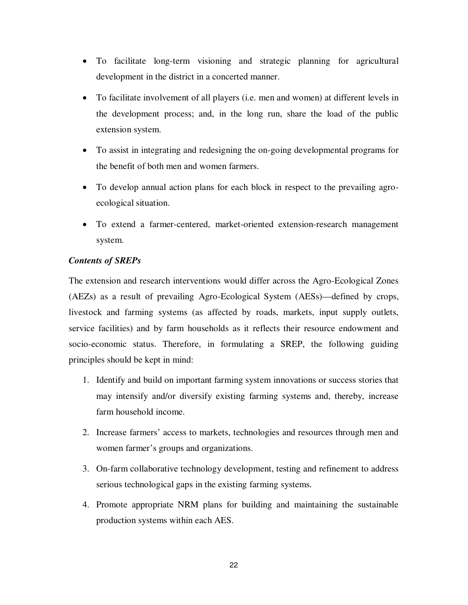- To facilitate long-term visioning and strategic planning for agricultural development in the district in a concerted manner.
- To facilitate involvement of all players (i.e. men and women) at different levels in the development process; and, in the long run, share the load of the public extension system.
- To assist in integrating and redesigning the on-going developmental programs for the benefit of both men and women farmers.
- To develop annual action plans for each block in respect to the prevailing agroecological situation.
- To extend a farmer-centered, market-oriented extension-research management system.

# *Contents of SREPs*

The extension and research interventions would differ across the Agro-Ecological Zones (AEZs) as a result of prevailing Agro-Ecological System (AESs)—defined by crops, livestock and farming systems (as affected by roads, markets, input supply outlets, service facilities) and by farm households as it reflects their resource endowment and socio-economic status. Therefore, in formulating a SREP, the following guiding principles should be kept in mind:

- 1. Identify and build on important farming system innovations or success stories that may intensify and/or diversify existing farming systems and, thereby, increase farm household income.
- 2. Increase farmers' access to markets, technologies and resources through men and women farmer's groups and organizations.
- 3. On-farm collaborative technology development, testing and refinement to address serious technological gaps in the existing farming systems.
- 4. Promote appropriate NRM plans for building and maintaining the sustainable production systems within each AES.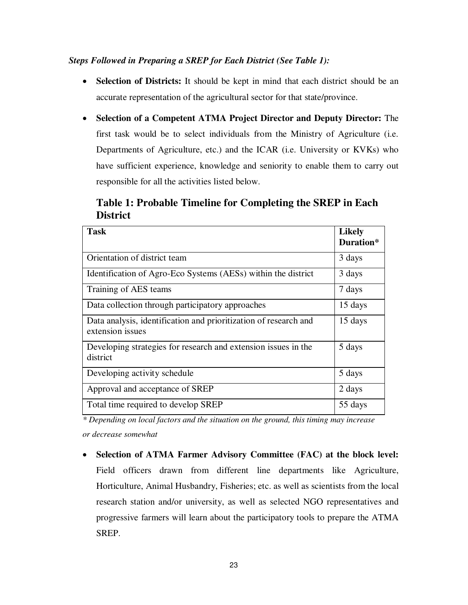# *Steps Followed in Preparing a SREP for Each District (See Table 1):*

- **Selection of Districts:** It should be kept in mind that each district should be an accurate representation of the agricultural sector for that state/province.
- **Selection of a Competent ATMA Project Director and Deputy Director:** The first task would be to select individuals from the Ministry of Agriculture (i.e. Departments of Agriculture, etc.) and the ICAR (i.e. University or KVKs) who have sufficient experience, knowledge and seniority to enable them to carry out responsible for all the activities listed below.

**Table 1: Probable Timeline for Completing the SREP in Each District** 

| <b>Task</b>                                                                          | <b>Likely</b><br>Duration* |
|--------------------------------------------------------------------------------------|----------------------------|
| Orientation of district team                                                         | 3 days                     |
| Identification of Agro-Eco Systems (AESs) within the district                        | 3 days                     |
| Training of AES teams                                                                | 7 days                     |
| Data collection through participatory approaches                                     | 15 days                    |
| Data analysis, identification and prioritization of research and<br>extension issues | 15 days                    |
| Developing strategies for research and extension issues in the<br>district           | 5 days                     |
| Developing activity schedule                                                         | 5 days                     |
| Approval and acceptance of SREP                                                      | 2 days                     |
| Total time required to develop SREP                                                  | 55 days                    |

*\* Depending on local factors and the situation on the ground, this timing may increase or decrease somewhat* 

 **Selection of ATMA Farmer Advisory Committee (FAC) at the block level:** Field officers drawn from different line departments like Agriculture, Horticulture, Animal Husbandry, Fisheries; etc. as well as scientists from the local research station and/or university, as well as selected NGO representatives and progressive farmers will learn about the participatory tools to prepare the ATMA SREP.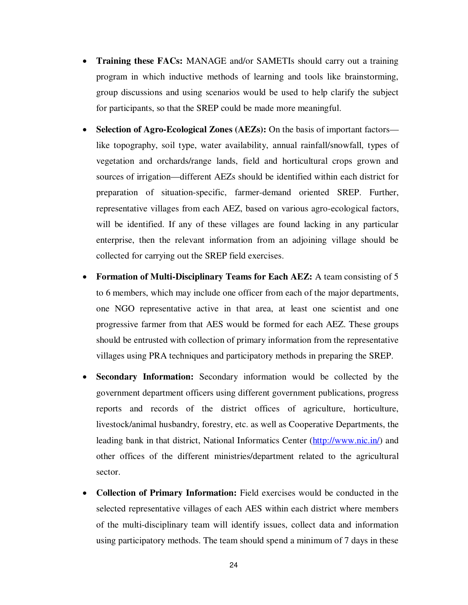- **Training these FACs:** MANAGE and/or SAMETIs should carry out a training program in which inductive methods of learning and tools like brainstorming, group discussions and using scenarios would be used to help clarify the subject for participants, so that the SREP could be made more meaningful.
- **Selection of Agro-Ecological Zones (AEZs):** On the basis of important factors like topography, soil type, water availability, annual rainfall/snowfall, types of vegetation and orchards/range lands, field and horticultural crops grown and sources of irrigation—different AEZs should be identified within each district for preparation of situation-specific, farmer-demand oriented SREP. Further, representative villages from each AEZ, based on various agro-ecological factors, will be identified. If any of these villages are found lacking in any particular enterprise, then the relevant information from an adjoining village should be collected for carrying out the SREP field exercises.
- **Formation of Multi-Disciplinary Teams for Each AEZ:** A team consisting of 5 to 6 members, which may include one officer from each of the major departments, one NGO representative active in that area, at least one scientist and one progressive farmer from that AES would be formed for each AEZ. These groups should be entrusted with collection of primary information from the representative villages using PRA techniques and participatory methods in preparing the SREP.
- **Secondary Information:** Secondary information would be collected by the government department officers using different government publications, progress reports and records of the district offices of agriculture, horticulture, livestock/animal husbandry, forestry, etc. as well as Cooperative Departments, the leading bank in that district, National Informatics Center ( $\frac{http://www.nic.in/}{http://www.nic.in/})}$  and other offices of the different ministries/department related to the agricultural sector.
- **Collection of Primary Information:** Field exercises would be conducted in the selected representative villages of each AES within each district where members of the multi-disciplinary team will identify issues, collect data and information using participatory methods. The team should spend a minimum of 7 days in these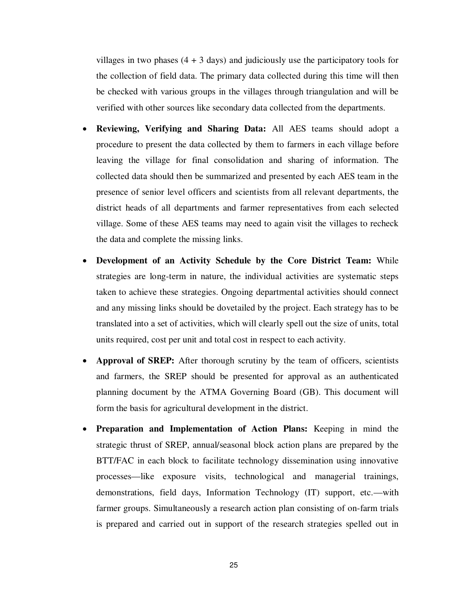villages in two phases  $(4 + 3$  days) and judiciously use the participatory tools for the collection of field data. The primary data collected during this time will then be checked with various groups in the villages through triangulation and will be verified with other sources like secondary data collected from the departments.

- **Reviewing, Verifying and Sharing Data:** All AES teams should adopt a procedure to present the data collected by them to farmers in each village before leaving the village for final consolidation and sharing of information. The collected data should then be summarized and presented by each AES team in the presence of senior level officers and scientists from all relevant departments, the district heads of all departments and farmer representatives from each selected village. Some of these AES teams may need to again visit the villages to recheck the data and complete the missing links.
- **Development of an Activity Schedule by the Core District Team:** While strategies are long-term in nature, the individual activities are systematic steps taken to achieve these strategies. Ongoing departmental activities should connect and any missing links should be dovetailed by the project. Each strategy has to be translated into a set of activities, which will clearly spell out the size of units, total units required, cost per unit and total cost in respect to each activity.
- **Approval of SREP:** After thorough scrutiny by the team of officers, scientists and farmers, the SREP should be presented for approval as an authenticated planning document by the ATMA Governing Board (GB). This document will form the basis for agricultural development in the district.
- **Preparation and Implementation of Action Plans:** Keeping in mind the strategic thrust of SREP, annual/seasonal block action plans are prepared by the BTT/FAC in each block to facilitate technology dissemination using innovative processes—like exposure visits, technological and managerial trainings, demonstrations, field days, Information Technology (IT) support, etc.—with farmer groups. Simultaneously a research action plan consisting of on-farm trials is prepared and carried out in support of the research strategies spelled out in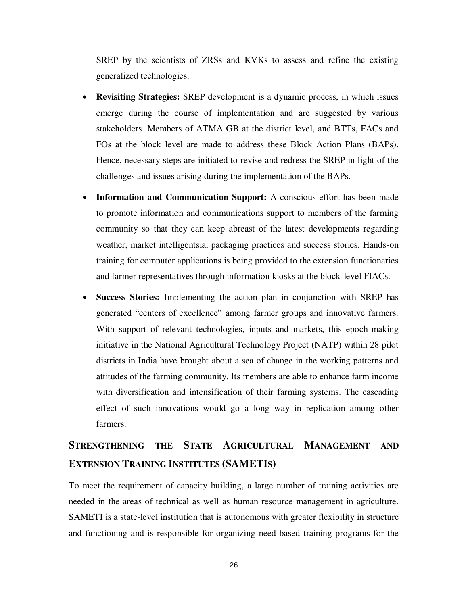SREP by the scientists of ZRSs and KVKs to assess and refine the existing generalized technologies.

- **Revisiting Strategies:** SREP development is a dynamic process, in which issues emerge during the course of implementation and are suggested by various stakeholders. Members of ATMA GB at the district level, and BTTs, FACs and FOs at the block level are made to address these Block Action Plans (BAPs). Hence, necessary steps are initiated to revise and redress the SREP in light of the challenges and issues arising during the implementation of the BAPs.
- **Information and Communication Support:** A conscious effort has been made to promote information and communications support to members of the farming community so that they can keep abreast of the latest developments regarding weather, market intelligentsia, packaging practices and success stories. Hands-on training for computer applications is being provided to the extension functionaries and farmer representatives through information kiosks at the block-level FIACs.
- **Success Stories:** Implementing the action plan in conjunction with SREP has generated "centers of excellence" among farmer groups and innovative farmers. With support of relevant technologies, inputs and markets, this epoch-making initiative in the National Agricultural Technology Project (NATP) within 28 pilot districts in India have brought about a sea of change in the working patterns and attitudes of the farming community. Its members are able to enhance farm income with diversification and intensification of their farming systems. The cascading effect of such innovations would go a long way in replication among other farmers.

# **STRENGTHENING THE STATE AGRICULTURAL MANAGEMENT AND EXTENSION TRAINING INSTITUTES (SAMETIS)**

To meet the requirement of capacity building, a large number of training activities are needed in the areas of technical as well as human resource management in agriculture. SAMETI is a state-level institution that is autonomous with greater flexibility in structure and functioning and is responsible for organizing need-based training programs for the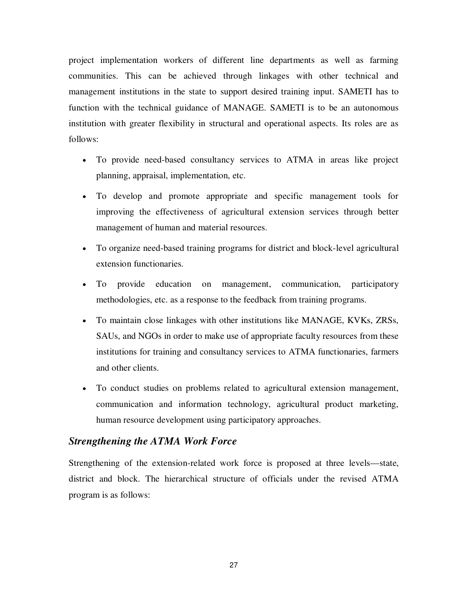project implementation workers of different line departments as well as farming communities. This can be achieved through linkages with other technical and management institutions in the state to support desired training input. SAMETI has to function with the technical guidance of MANAGE. SAMETI is to be an autonomous institution with greater flexibility in structural and operational aspects. Its roles are as follows:

- To provide need-based consultancy services to ATMA in areas like project planning, appraisal, implementation, etc.
- To develop and promote appropriate and specific management tools for improving the effectiveness of agricultural extension services through better management of human and material resources.
- To organize need-based training programs for district and block-level agricultural extension functionaries.
- To provide education on management, communication, participatory methodologies, etc. as a response to the feedback from training programs.
- To maintain close linkages with other institutions like MANAGE, KVKs, ZRSs, SAUs, and NGOs in order to make use of appropriate faculty resources from these institutions for training and consultancy services to ATMA functionaries, farmers and other clients.
- To conduct studies on problems related to agricultural extension management, communication and information technology, agricultural product marketing, human resource development using participatory approaches.

## *Strengthening the ATMA Work Force*

Strengthening of the extension-related work force is proposed at three levels—state, district and block. The hierarchical structure of officials under the revised ATMA program is as follows: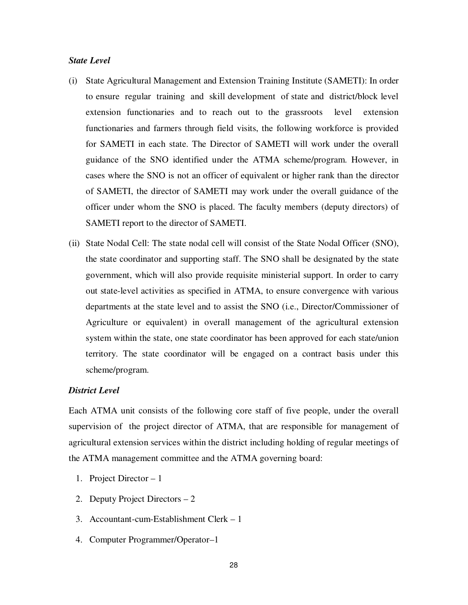#### *State Level*

- (i) State Agricultural Management and Extension Training Institute (SAMETI): In order to ensure regular training and skill development of state and district/block level extension functionaries and to reach out to the grassroots level extension functionaries and farmers through field visits, the following workforce is provided for SAMETI in each state. The Director of SAMETI will work under the overall guidance of the SNO identified under the ATMA scheme/program. However, in cases where the SNO is not an officer of equivalent or higher rank than the director of SAMETI, the director of SAMETI may work under the overall guidance of the officer under whom the SNO is placed. The faculty members (deputy directors) of SAMETI report to the director of SAMETI.
- (ii) State Nodal Cell: The state nodal cell will consist of the State Nodal Officer (SNO), the state coordinator and supporting staff. The SNO shall be designated by the state government, which will also provide requisite ministerial support. In order to carry out state-level activities as specified in ATMA, to ensure convergence with various departments at the state level and to assist the SNO (i.e., Director/Commissioner of Agriculture or equivalent) in overall management of the agricultural extension system within the state, one state coordinator has been approved for each state/union territory. The state coordinator will be engaged on a contract basis under this scheme/program.

#### *District Level*

Each ATMA unit consists of the following core staff of five people, under the overall supervision of the project director of ATMA, that are responsible for management of agricultural extension services within the district including holding of regular meetings of the ATMA management committee and the ATMA governing board:

- 1. Project Director 1
- 2. Deputy Project Directors 2
- 3. Accountant-cum-Establishment Clerk 1
- 4. Computer Programmer/Operator–1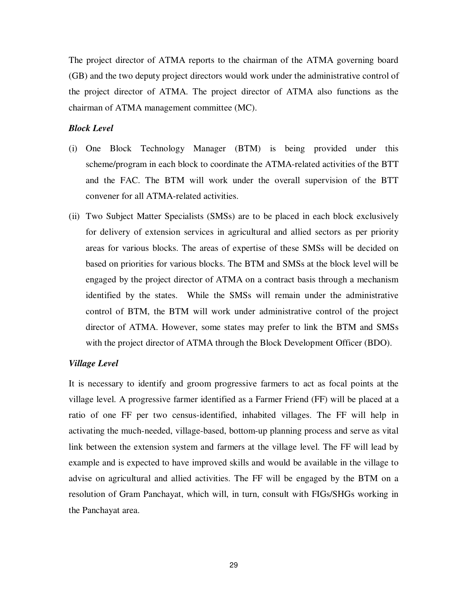The project director of ATMA reports to the chairman of the ATMA governing board (GB) and the two deputy project directors would work under the administrative control of the project director of ATMA. The project director of ATMA also functions as the chairman of ATMA management committee (MC).

#### *Block Level*

- (i) One Block Technology Manager (BTM) is being provided under this scheme/program in each block to coordinate the ATMA-related activities of the BTT and the FAC. The BTM will work under the overall supervision of the BTT convener for all ATMA-related activities.
- (ii) Two Subject Matter Specialists (SMSs) are to be placed in each block exclusively for delivery of extension services in agricultural and allied sectors as per priority areas for various blocks. The areas of expertise of these SMSs will be decided on based on priorities for various blocks. The BTM and SMSs at the block level will be engaged by the project director of ATMA on a contract basis through a mechanism identified by the states. While the SMSs will remain under the administrative control of BTM, the BTM will work under administrative control of the project director of ATMA. However, some states may prefer to link the BTM and SMSs with the project director of ATMA through the Block Development Officer (BDO).

#### *Village Level*

It is necessary to identify and groom progressive farmers to act as focal points at the village level. A progressive farmer identified as a Farmer Friend (FF) will be placed at a ratio of one FF per two census-identified, inhabited villages. The FF will help in activating the much-needed, village-based, bottom-up planning process and serve as vital link between the extension system and farmers at the village level. The FF will lead by example and is expected to have improved skills and would be available in the village to advise on agricultural and allied activities. The FF will be engaged by the BTM on a resolution of Gram Panchayat, which will, in turn, consult with FIGs/SHGs working in the Panchayat area.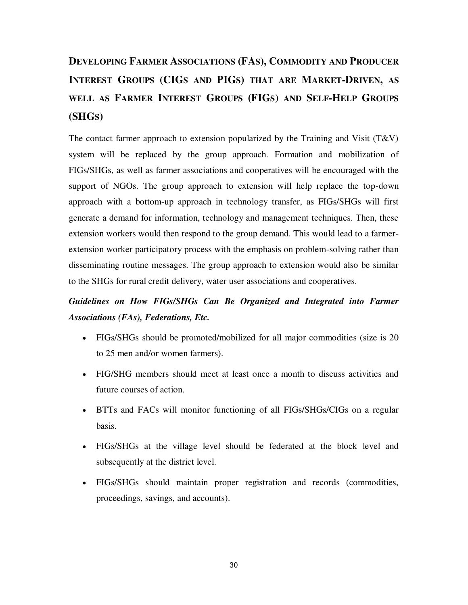# **DEVELOPING FARMER ASSOCIATIONS (FAS), COMMODITY AND PRODUCER INTEREST GROUPS (CIGS AND PIGS) THAT ARE MARKET-DRIVEN, AS WELL AS FARMER INTEREST GROUPS (FIGS) AND SELF-HELP GROUPS (SHGS)**

The contact farmer approach to extension popularized by the Training and Visit  $(T&V)$ system will be replaced by the group approach. Formation and mobilization of FIGs/SHGs, as well as farmer associations and cooperatives will be encouraged with the support of NGOs. The group approach to extension will help replace the top-down approach with a bottom-up approach in technology transfer, as FIGs/SHGs will first generate a demand for information, technology and management techniques. Then, these extension workers would then respond to the group demand. This would lead to a farmerextension worker participatory process with the emphasis on problem-solving rather than disseminating routine messages. The group approach to extension would also be similar to the SHGs for rural credit delivery, water user associations and cooperatives.

# *Guidelines on How FIGs/SHGs Can Be Organized and Integrated into Farmer Associations (FAs), Federations, Etc.*

- FIGs/SHGs should be promoted/mobilized for all major commodities (size is 20 to 25 men and/or women farmers).
- FIG/SHG members should meet at least once a month to discuss activities and future courses of action.
- BTTs and FACs will monitor functioning of all FIGs/SHGs/CIGs on a regular basis.
- FIGs/SHGs at the village level should be federated at the block level and subsequently at the district level.
- FIGs/SHGs should maintain proper registration and records (commodities, proceedings, savings, and accounts).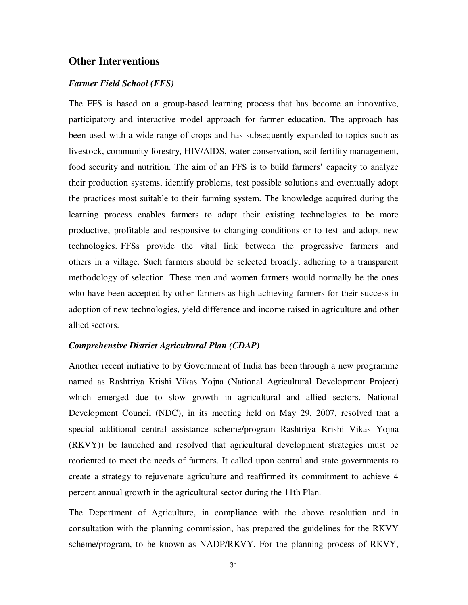## **Other Interventions**

#### *Farmer Field School (FFS)*

The FFS is based on a group-based learning process that has become an innovative, participatory and interactive model approach for farmer education. The approach has been used with a wide range of crops and has subsequently expanded to topics such as livestock, community forestry, HIV/AIDS, water conservation, soil fertility management, food security and nutrition. The aim of an FFS is to build farmers' capacity to analyze their production systems, identify problems, test possible solutions and eventually adopt the practices most suitable to their farming system. The knowledge acquired during the learning process enables farmers to adapt their existing technologies to be more productive, profitable and responsive to changing conditions or to test and adopt new technologies. FFSs provide the vital link between the progressive farmers and others in a village. Such farmers should be selected broadly, adhering to a transparent methodology of selection. These men and women farmers would normally be the ones who have been accepted by other farmers as high-achieving farmers for their success in adoption of new technologies, yield difference and income raised in agriculture and other allied sectors.

#### *Comprehensive District Agricultural Plan (CDAP)*

Another recent initiative to by Government of India has been through a new programme named as Rashtriya Krishi Vikas Yojna (National Agricultural Development Project) which emerged due to slow growth in agricultural and allied sectors. National Development Council (NDC), in its meeting held on May 29, 2007, resolved that a special additional central assistance scheme/program Rashtriya Krishi Vikas Yojna (RKVY)) be launched and resolved that agricultural development strategies must be reoriented to meet the needs of farmers. It called upon central and state governments to create a strategy to rejuvenate agriculture and reaffirmed its commitment to achieve 4 percent annual growth in the agricultural sector during the 11th Plan.

The Department of Agriculture, in compliance with the above resolution and in consultation with the planning commission, has prepared the guidelines for the RKVY scheme/program, to be known as NADP/RKVY. For the planning process of RKVY,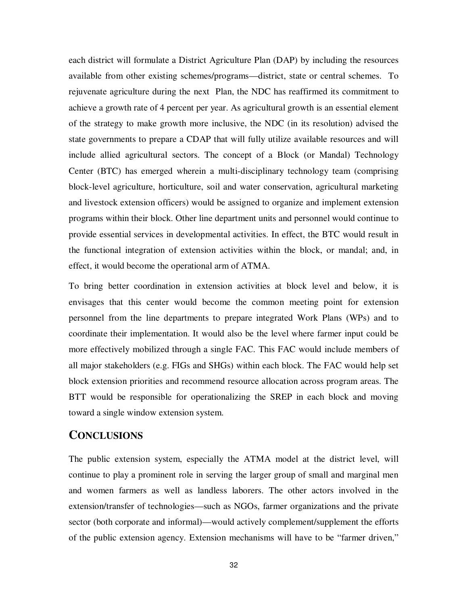each district will formulate a District Agriculture Plan (DAP) by including the resources available from other existing schemes/programs—district, state or central schemes. To rejuvenate agriculture during the next Plan, the NDC has reaffirmed its commitment to achieve a growth rate of 4 percent per year. As agricultural growth is an essential element of the strategy to make growth more inclusive, the NDC (in its resolution) advised the state governments to prepare a CDAP that will fully utilize available resources and will include allied agricultural sectors. The concept of a Block (or Mandal) Technology Center (BTC) has emerged wherein a multi-disciplinary technology team (comprising block-level agriculture, horticulture, soil and water conservation, agricultural marketing and livestock extension officers) would be assigned to organize and implement extension programs within their block. Other line department units and personnel would continue to provide essential services in developmental activities. In effect, the BTC would result in the functional integration of extension activities within the block, or mandal; and, in effect, it would become the operational arm of ATMA.

To bring better coordination in extension activities at block level and below, it is envisages that this center would become the common meeting point for extension personnel from the line departments to prepare integrated Work Plans (WPs) and to coordinate their implementation. It would also be the level where farmer input could be more effectively mobilized through a single FAC. This FAC would include members of all major stakeholders (e.g. FIGs and SHGs) within each block. The FAC would help set block extension priorities and recommend resource allocation across program areas. The BTT would be responsible for operationalizing the SREP in each block and moving toward a single window extension system.

# **CONCLUSIONS**

The public extension system, especially the ATMA model at the district level, will continue to play a prominent role in serving the larger group of small and marginal men and women farmers as well as landless laborers. The other actors involved in the extension/transfer of technologies—such as NGOs, farmer organizations and the private sector (both corporate and informal)—would actively complement/supplement the efforts of the public extension agency. Extension mechanisms will have to be "farmer driven,"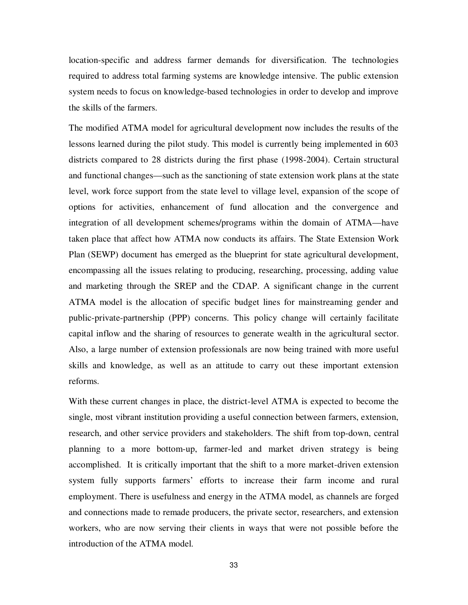location-specific and address farmer demands for diversification. The technologies required to address total farming systems are knowledge intensive. The public extension system needs to focus on knowledge-based technologies in order to develop and improve the skills of the farmers.

The modified ATMA model for agricultural development now includes the results of the lessons learned during the pilot study. This model is currently being implemented in 603 districts compared to 28 districts during the first phase (1998-2004). Certain structural and functional changes—such as the sanctioning of state extension work plans at the state level, work force support from the state level to village level, expansion of the scope of options for activities, enhancement of fund allocation and the convergence and integration of all development schemes/programs within the domain of ATMA—have taken place that affect how ATMA now conducts its affairs. The State Extension Work Plan (SEWP) document has emerged as the blueprint for state agricultural development, encompassing all the issues relating to producing, researching, processing, adding value and marketing through the SREP and the CDAP. A significant change in the current ATMA model is the allocation of specific budget lines for mainstreaming gender and public-private-partnership (PPP) concerns. This policy change will certainly facilitate capital inflow and the sharing of resources to generate wealth in the agricultural sector. Also, a large number of extension professionals are now being trained with more useful skills and knowledge, as well as an attitude to carry out these important extension reforms.

With these current changes in place, the district-level ATMA is expected to become the single, most vibrant institution providing a useful connection between farmers, extension, research, and other service providers and stakeholders. The shift from top-down, central planning to a more bottom-up, farmer-led and market driven strategy is being accomplished. It is critically important that the shift to a more market-driven extension system fully supports farmers' efforts to increase their farm income and rural employment. There is usefulness and energy in the ATMA model, as channels are forged and connections made to remade producers, the private sector, researchers, and extension workers, who are now serving their clients in ways that were not possible before the introduction of the ATMA model.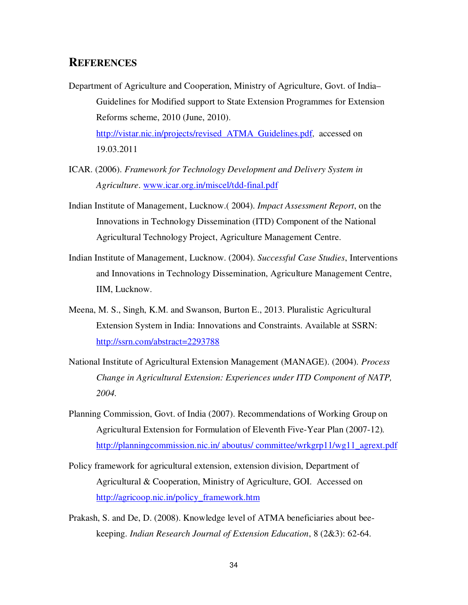# **REFERENCES**

- Department of Agriculture and Cooperation, Ministry of Agriculture, Govt. of India– Guidelines for Modified support to State Extension Programmes for Extension Reforms scheme, 2010 (June, 2010). http://vistar.nic.in/projects/revised\_ATMA\_Guidelines.pdf, accessed on 19.03.2011
- ICAR. (2006). *Framework for Technology Development and Delivery System in Agriculture*. www.icar.org.in/miscel/tdd-final.pdf
- Indian Institute of Management, Lucknow.( 2004). *Impact Assessment Report*, on the Innovations in Technology Dissemination (ITD) Component of the National Agricultural Technology Project, Agriculture Management Centre.
- Indian Institute of Management, Lucknow. (2004). *Successful Case Studies*, Interventions and Innovations in Technology Dissemination, Agriculture Management Centre, IIM, Lucknow.
- Meena, M. S., Singh, K.M. and Swanson, Burton E., 2013. Pluralistic Agricultural Extension System in India: Innovations and Constraints. Available at SSRN: http://ssrn.com/abstract=2293788
- National Institute of Agricultural Extension Management (MANAGE). (2004). *Process Change in Agricultural Extension: Experiences under ITD Component of NATP, 2004.*
- Planning Commission, Govt. of India (2007). Recommendations of Working Group on Agricultural Extension for Formulation of Eleventh Five-Year Plan (2007-12)*.*  http://planningcommission.nic.in/ aboutus/ committee/wrkgrp11/wg11\_agrext.pdf
- Policy framework for agricultural extension, extension division, Department of Agricultural & Cooperation, Ministry of Agriculture, GOI. Accessed on http://agricoop.nic.in/policy\_framework.htm
- Prakash, S. and De, D. (2008). Knowledge level of ATMA beneficiaries about beekeeping. *Indian Research Journal of Extension Education*, 8 (2&3): 62-64.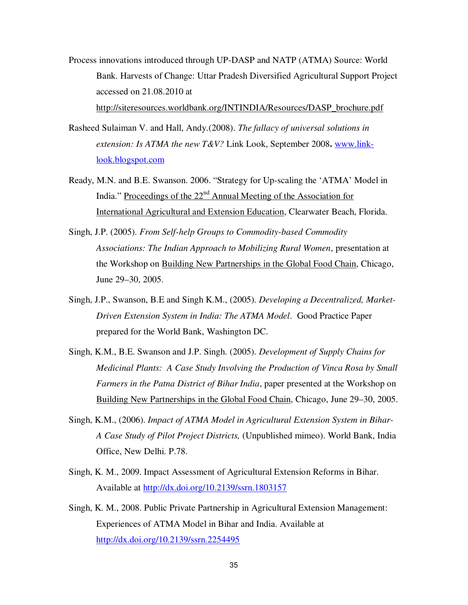- Process innovations introduced through UP-DASP and NATP (ATMA) Source: World Bank. Harvests of Change: Uttar Pradesh Diversified Agricultural Support Project accessed on 21.08.2010 at http://siteresources.worldbank.org/INTINDIA/Resources/DASP\_brochure.pdf
- Rasheed Sulaiman V. and Hall, Andy.(2008). *The fallacy of universal solutions in extension: Is ATMA the new T&V?* Link Look, September 2008**.** www.linklook.blogspot.com
- Ready, M.N. and B.E. Swanson. 2006. "Strategy for Up-scaling the 'ATMA' Model in India." Proceedings of the 22<sup>nd</sup> Annual Meeting of the Association for International Agricultural and Extension Education, Clearwater Beach, Florida.
- Singh, J.P. (2005). *From Self-help Groups to Commodity-based Commodity Associations: The Indian Approach to Mobilizing Rural Women*, presentation at the Workshop on Building New Partnerships in the Global Food Chain, Chicago, June 29–30, 2005.
- Singh, J.P., Swanson, B.E and Singh K.M., (2005). *Developing a Decentralized, Market-Driven Extension System in India: The ATMA Model*. Good Practice Paper prepared for the World Bank, Washington DC.
- Singh, K.M., B.E. Swanson and J.P. Singh. (2005). *Development of Supply Chains for Medicinal Plants: A Case Study Involving the Production of Vinca Rosa by Small Farmers in the Patna District of Bihar India*, paper presented at the Workshop on Building New Partnerships in the Global Food Chain, Chicago, June 29–30, 2005.
- Singh, K.M., (2006). *Impact of ATMA Model in Agricultural Extension System in Bihar-A Case Study of Pilot Project Districts,* (Unpublished mimeo). World Bank, India Office, New Delhi. P.78.
- Singh, K. M., 2009. Impact Assessment of Agricultural Extension Reforms in Bihar. Available at http://dx.doi.org/10.2139/ssrn.1803157
- Singh, K. M., 2008. Public Private Partnership in Agricultural Extension Management: Experiences of ATMA Model in Bihar and India. Available at http://dx.doi.org/10.2139/ssrn.2254495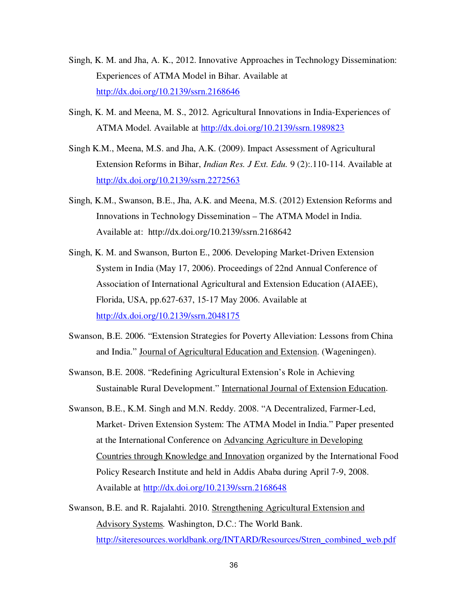- Singh, K. M. and Jha, A. K., 2012. Innovative Approaches in Technology Dissemination: Experiences of ATMA Model in Bihar. Available at http://dx.doi.org/10.2139/ssrn.2168646
- Singh, K. M. and Meena, M. S., 2012. Agricultural Innovations in India-Experiences of ATMA Model. Available at http://dx.doi.org/10.2139/ssrn.1989823
- Singh K.M., Meena, M.S. and Jha, A.K. (2009). Impact Assessment of Agricultural Extension Reforms in Bihar, *Indian Res. J Ext. Edu.* 9 (2):.110-114. Available at http://dx.doi.org/10.2139/ssrn.2272563
- Singh, K.M., Swanson, B.E., Jha, A.K. and Meena, M.S. (2012) Extension Reforms and Innovations in Technology Dissemination – The ATMA Model in India. Available at: http://dx.doi.org/10.2139/ssrn.2168642
- Singh, K. M. and Swanson, Burton E., 2006. Developing Market-Driven Extension System in India (May 17, 2006). Proceedings of 22nd Annual Conference of Association of International Agricultural and Extension Education (AIAEE), Florida, USA, pp.627-637, 15-17 May 2006. Available at http://dx.doi.org/10.2139/ssrn.2048175
- Swanson, B.E. 2006. "Extension Strategies for Poverty Alleviation: Lessons from China and India." Journal of Agricultural Education and Extension. (Wageningen).
- Swanson, B.E. 2008. "Redefining Agricultural Extension's Role in Achieving Sustainable Rural Development." International Journal of Extension Education.
- Swanson, B.E., K.M. Singh and M.N. Reddy. 2008. "A Decentralized, Farmer-Led, Market- Driven Extension System: The ATMA Model in India." Paper presented at the International Conference on Advancing Agriculture in Developing Countries through Knowledge and Innovation organized by the International Food Policy Research Institute and held in Addis Ababa during April 7-9, 2008. Available at http://dx.doi.org/10.2139/ssrn.2168648
- Swanson, B.E. and R. Rajalahti. 2010. Strengthening Agricultural Extension and Advisory Systems*.* Washington, D.C.: The World Bank. http://siteresources.worldbank.org/INTARD/Resources/Stren\_combined\_web.pdf